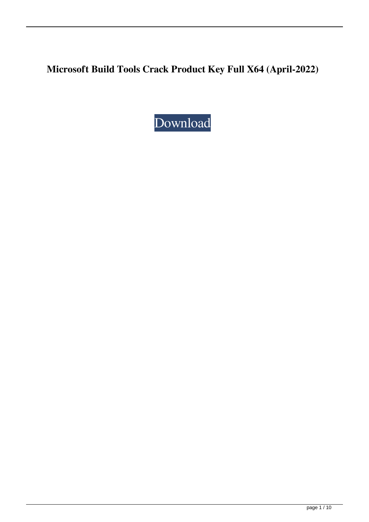**Microsoft Build Tools Crack Product Key Full X64 (April-2022)**

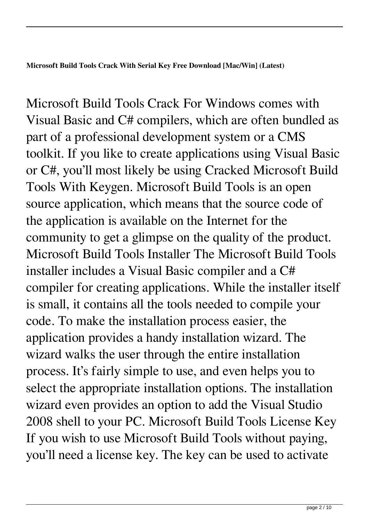**Microsoft Build Tools Crack With Serial Key Free Download [Mac/Win] (Latest)**

Microsoft Build Tools Crack For Windows comes with Visual Basic and C# compilers, which are often bundled as part of a professional development system or a CMS toolkit. If you like to create applications using Visual Basic or C#, you'll most likely be using Cracked Microsoft Build Tools With Keygen. Microsoft Build Tools is an open source application, which means that the source code of the application is available on the Internet for the community to get a glimpse on the quality of the product. Microsoft Build Tools Installer The Microsoft Build Tools installer includes a Visual Basic compiler and a C# compiler for creating applications. While the installer itself is small, it contains all the tools needed to compile your code. To make the installation process easier, the application provides a handy installation wizard. The wizard walks the user through the entire installation process. It's fairly simple to use, and even helps you to select the appropriate installation options. The installation wizard even provides an option to add the Visual Studio 2008 shell to your PC. Microsoft Build Tools License Key If you wish to use Microsoft Build Tools without paying, you'll need a license key. The key can be used to activate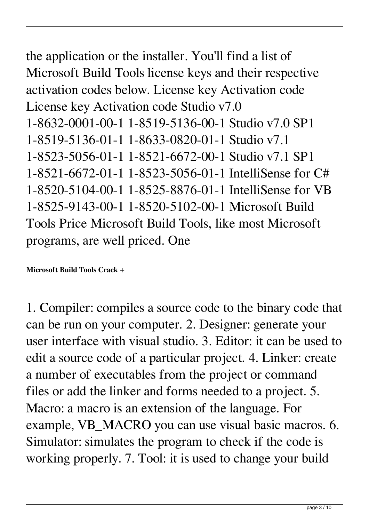the application or the installer. You'll find a list of Microsoft Build Tools license keys and their respective activation codes below. License key Activation code License key Activation code Studio v7.0 1-8632-0001-00-1 1-8519-5136-00-1 Studio v7.0 SP1 1-8519-5136-01-1 1-8633-0820-01-1 Studio v7.1 1-8523-5056-01-1 1-8521-6672-00-1 Studio v7.1 SP1 1-8521-6672-01-1 1-8523-5056-01-1 IntelliSense for C# 1-8520-5104-00-1 1-8525-8876-01-1 IntelliSense for VB 1-8525-9143-00-1 1-8520-5102-00-1 Microsoft Build Tools Price Microsoft Build Tools, like most Microsoft programs, are well priced. One

**Microsoft Build Tools Crack +**

1. Compiler: compiles a source code to the binary code that can be run on your computer. 2. Designer: generate your user interface with visual studio. 3. Editor: it can be used to edit a source code of a particular project. 4. Linker: create a number of executables from the project or command files or add the linker and forms needed to a project. 5. Macro: a macro is an extension of the language. For example, VB\_MACRO you can use visual basic macros. 6. Simulator: simulates the program to check if the code is working properly. 7. Tool: it is used to change your build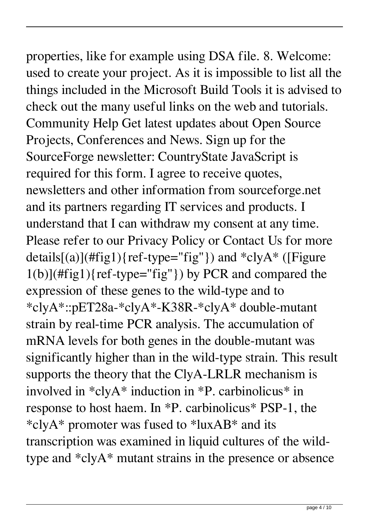properties, like for example using DSA file. 8. Welcome: used to create your project. As it is impossible to list all the things included in the Microsoft Build Tools it is advised to check out the many useful links on the web and tutorials. Community Help Get latest updates about Open Source Projects, Conferences and News. Sign up for the SourceForge newsletter: CountryState JavaScript is required for this form. I agree to receive quotes, newsletters and other information from sourceforge.net and its partners regarding IT services and products. I understand that I can withdraw my consent at any time. Please refer to our Privacy Policy or Contact Us for more details $[(a)]$ (#fig1){ref-type="fig"}) and \*clyA\* ([Figure  $1(b)$ ](#fig1){ref-type="fig"}) by PCR and compared the expression of these genes to the wild-type and to \*clyA\*::pET28a-\*clyA\*-K38R-\*clyA\* double-mutant strain by real-time PCR analysis. The accumulation of mRNA levels for both genes in the double-mutant was significantly higher than in the wild-type strain. This result supports the theory that the ClyA-LRLR mechanism is involved in  $*$ clyA $*$  induction in  $*$ P. carbinolicus $*$  in response to host haem. In \*P. carbinolicus\* PSP-1, the \*clyA\* promoter was fused to \*luxAB\* and its transcription was examined in liquid cultures of the wildtype and \*clyA\* mutant strains in the presence or absence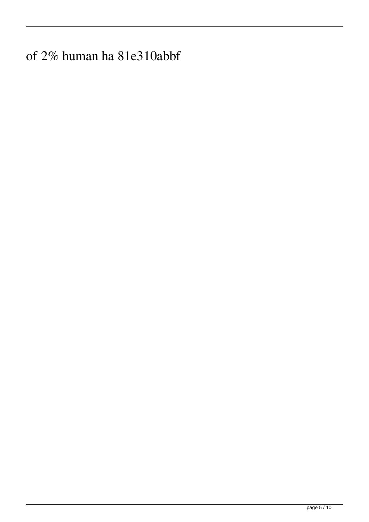of 2% human ha 81e310abbf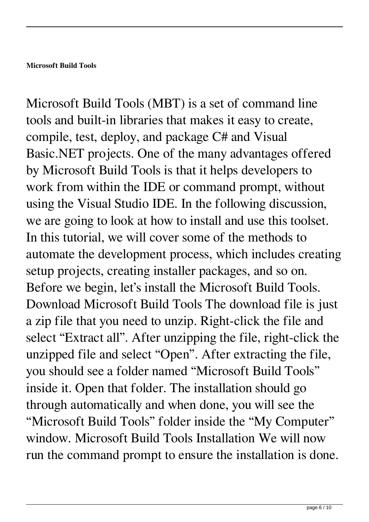Microsoft Build Tools (MBT) is a set of command line tools and built-in libraries that makes it easy to create, compile, test, deploy, and package C# and Visual Basic.NET projects. One of the many advantages offered by Microsoft Build Tools is that it helps developers to work from within the IDE or command prompt, without using the Visual Studio IDE. In the following discussion, we are going to look at how to install and use this toolset. In this tutorial, we will cover some of the methods to automate the development process, which includes creating setup projects, creating installer packages, and so on. Before we begin, let's install the Microsoft Build Tools. Download Microsoft Build Tools The download file is just a zip file that you need to unzip. Right-click the file and select "Extract all". After unzipping the file, right-click the unzipped file and select "Open". After extracting the file, you should see a folder named "Microsoft Build Tools" inside it. Open that folder. The installation should go through automatically and when done, you will see the "Microsoft Build Tools" folder inside the "My Computer" window. Microsoft Build Tools Installation We will now run the command prompt to ensure the installation is done.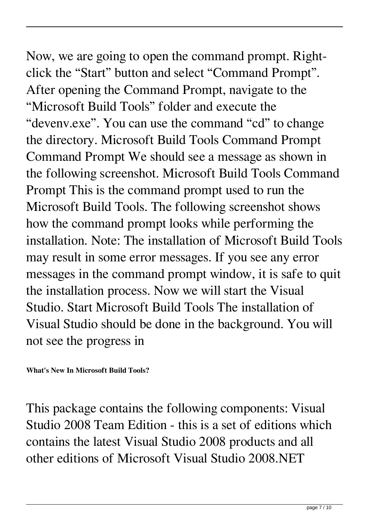Now, we are going to open the command prompt. Rightclick the "Start" button and select "Command Prompt". After opening the Command Prompt, navigate to the "Microsoft Build Tools" folder and execute the "devenv.exe". You can use the command "cd" to change the directory. Microsoft Build Tools Command Prompt Command Prompt We should see a message as shown in the following screenshot. Microsoft Build Tools Command Prompt This is the command prompt used to run the Microsoft Build Tools. The following screenshot shows how the command prompt looks while performing the installation. Note: The installation of Microsoft Build Tools may result in some error messages. If you see any error messages in the command prompt window, it is safe to quit the installation process. Now we will start the Visual Studio. Start Microsoft Build Tools The installation of Visual Studio should be done in the background. You will not see the progress in

**What's New In Microsoft Build Tools?**

This package contains the following components: Visual Studio 2008 Team Edition - this is a set of editions which contains the latest Visual Studio 2008 products and all other editions of Microsoft Visual Studio 2008.NET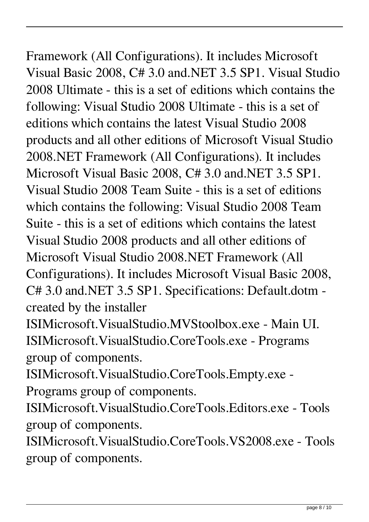Framework (All Configurations). It includes Microsoft

Visual Basic 2008, C# 3.0 and.NET 3.5 SP1. Visual Studio 2008 Ultimate - this is a set of editions which contains the following: Visual Studio 2008 Ultimate - this is a set of editions which contains the latest Visual Studio 2008 products and all other editions of Microsoft Visual Studio 2008.NET Framework (All Configurations). It includes Microsoft Visual Basic 2008, C# 3.0 and.NET 3.5 SP1. Visual Studio 2008 Team Suite - this is a set of editions which contains the following: Visual Studio 2008 Team Suite - this is a set of editions which contains the latest Visual Studio 2008 products and all other editions of Microsoft Visual Studio 2008.NET Framework (All Configurations). It includes Microsoft Visual Basic 2008, C# 3.0 and.NET 3.5 SP1. Specifications: Default.dotm created by the installer

ISIMicrosoft.VisualStudio.MVStoolbox.exe - Main UI. ISIMicrosoft.VisualStudio.CoreTools.exe - Programs group of components.

ISIMicrosoft.VisualStudio.CoreTools.Empty.exe -

Programs group of components.

ISIMicrosoft.VisualStudio.CoreTools.Editors.exe - Tools group of components.

ISIMicrosoft.VisualStudio.CoreTools.VS2008.exe - Tools group of components.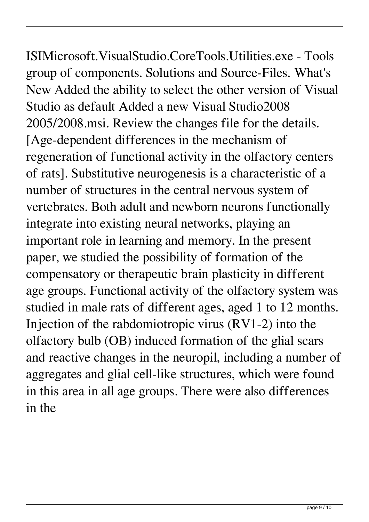ISIMicrosoft.VisualStudio.CoreTools.Utilities.exe - Tools group of components. Solutions and Source-Files. What's New Added the ability to select the other version of Visual Studio as default Added a new Visual Studio2008 2005/2008.msi. Review the changes file for the details. [Age-dependent differences in the mechanism of regeneration of functional activity in the olfactory centers of rats]. Substitutive neurogenesis is a characteristic of a number of structures in the central nervous system of

vertebrates. Both adult and newborn neurons functionally integrate into existing neural networks, playing an important role in learning and memory. In the present paper, we studied the possibility of formation of the compensatory or therapeutic brain plasticity in different age groups. Functional activity of the olfactory system was studied in male rats of different ages, aged 1 to 12 months. Injection of the rabdomiotropic virus (RV1-2) into the olfactory bulb (OB) induced formation of the glial scars and reactive changes in the neuropil, including a number of aggregates and glial cell-like structures, which were found in this area in all age groups. There were also differences in the